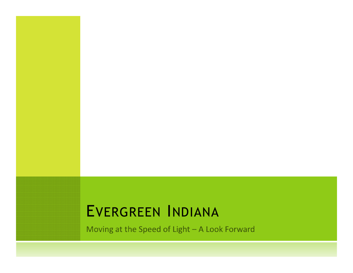#### EVERGREEN <sup>I</sup>NDIANA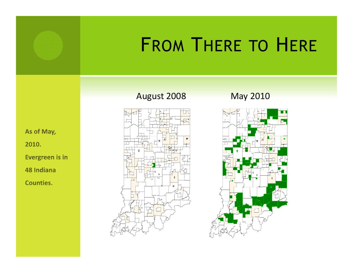

# FROM <sup>T</sup>HERE TO <sup>H</sup>ERE

August 2008 May 2010



As of May, 2010. Evergreen is in 48 Indiana Counties.

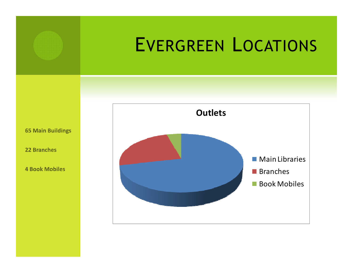

## EVERGREEN <sup>L</sup>OCATIONS

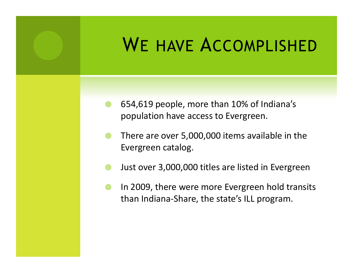

## <sup>W</sup><sup>E</sup> HAVE <sup>A</sup>CCOMPLISHED

- $\circledcirc$  654,619 people, more than 10% of Indiana's population have access to Evergreen.
- $\circledcirc$  There are over 5,000,000 items available in the Evergreen catalog.
- $\circledcirc$ Just over 3,000,000 titles are listed in Evergreen
- $\circledcirc$  In 2009, there were more Evergreen hold transits than Indiana-Share, the state's ILL program.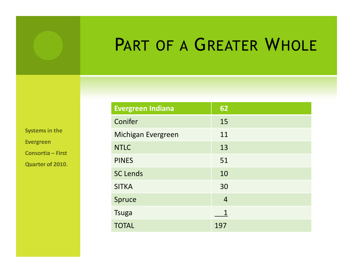

### PART OF A GREATER WHOLE

| <b>Evergreen Indiana</b> | 62             |
|--------------------------|----------------|
| Conifer                  | 15             |
| Michigan Evergreen       | 11             |
| <b>NTLC</b>              | 13             |
| <b>PINES</b>             | 51             |
| <b>SC Lends</b>          | 10             |
| <b>SITKA</b>             | 30             |
| Spruce                   | $\overline{4}$ |
| <b>Tsuga</b>             |                |
| <b>TOTAL</b>             | 197            |

Systems in the Evergreen Consortia - First

Quarter of 2010.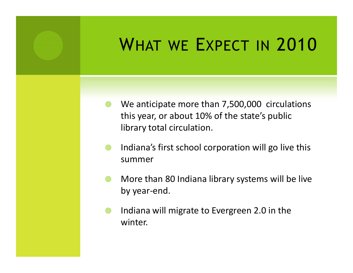

## <sup>W</sup>HAT WE <sup>E</sup>XPECT IN <sup>2010</sup>

- $\circledcirc$ We anticipate more than 7,500,000 circulations this year, or about 10% of the state's public library total circulation.
- $\circledcirc$  Indiana's first school corporation will go live this summer
- $\circledcirc$  More than 80 Indiana library systems will be live by year-end.
- $\circledcirc$  Indiana will migrate to Evergreen 2.0 in the winter.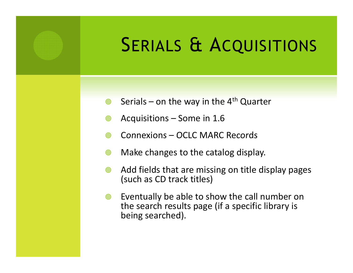## SERIALS & ACQUISITIONS

- $\circledcirc$ Serials – on the way in the  $4<sup>th</sup>$  Quarter
- $\circledcirc$ Acquisitions – Some in 1.6
- $\circledcirc$ Connexions – OCLC MARC Records
- $\circledcirc$ Make changes to the catalog display.
- $\circledcirc$  Add fields that are missing on title display pages (such as CD track titles)
- $\circledcirc$  Eventually be able to show the call number on the search results page (if a specific library is being searched).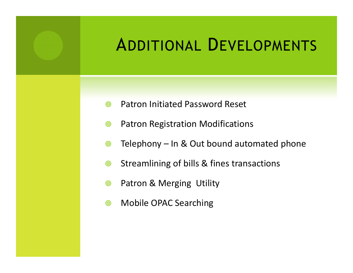

### ADDITIONAL <sup>D</sup>EVELOPMENTS

- $\odot$ Patron Initiated Password Reset
- $\circledcirc$ Patron Registration Modifications
- $\circledcirc$ Telephony – In & Out bound automated phone
- $\circledcirc$ Streamlining of bills & fines transactions
- $\circledcirc$ Patron & Merging Utility
- $\circledcirc$ Mobile OPAC Searching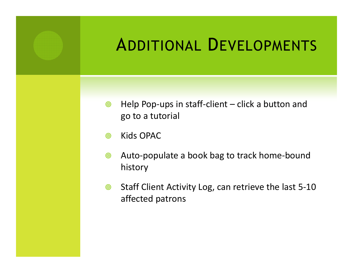

### ADDITIONAL <sup>D</sup>EVELOPMENTS

- $\circledcirc$  Help Pop-ups in staff-client – click a button and go to a tutorial
- $\circledcirc$ Kids OPAC
- $\circledcirc$  Auto-populate a book bag to track home-bound history
- $\circledcirc$  Staff Client Activity Log, can retrieve the last 5-10 affected patrons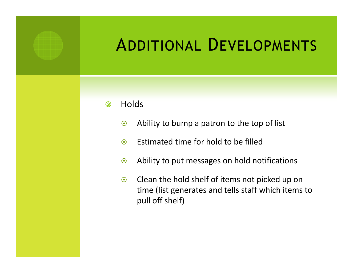### ADDITIONAL <sup>D</sup>EVELOPMENTS

- $\circledcirc$ **Holds** 
	- $\odot$ Ability to bump a patron to the top of list
	- $\odot$ Estimated time for hold to be filled
	- $\odot$ Ability to put messages on hold notifications
	- $\odot$  Clean the hold shelf of items not picked up on time (list generates and tells staff which items topull off shelf)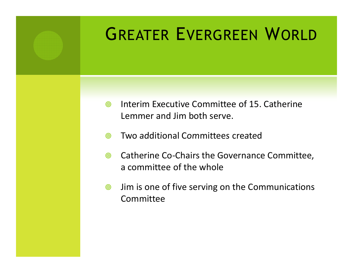

## GREATER <sup>E</sup>VERGREEN <sup>W</sup>ORLD

- $\circledcirc$  Interim Executive Committee of 15. Catherine Lemmer and Jim both serve.
- $\circledcirc$ Two additional Committees created
- $\circledcirc$  Catherine Co-Chairs the Governance Committee, a committee of the whole
- $\circledcirc$  Jim is one of five serving on the Communications Committee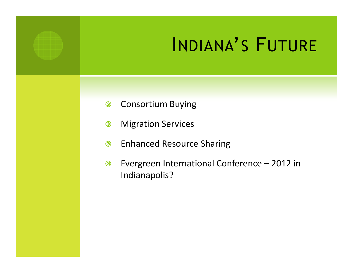## INDIANA'S <sup>F</sup>UTURE

- $\circledcirc$ Consortium Buying
- $\circledcirc$ Migration Services
- $\circledcirc$ Enhanced Resource Sharing
- $\circledcirc$  Evergreen International Conference – 2012 in Indianapolis?